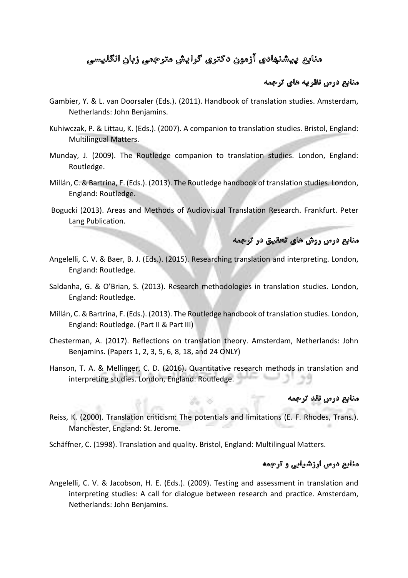# منابع پیشنهادی آزمون دکتری گرایش مترجمی زبان انگلیسی

### منابع درس نظریه های ترجمه

- Gambier, Y. & L. van Doorsaler (Eds.). (2011). Handbook of translation studies. Amsterdam, Netherlands: John Benjamins.
- Kuhiwczak, P. & Littau, K. (Eds.). (2007). A companion to translation studies. Bristol, England: Multilingual Matters.
- Munday, J. (2009). The Routledge companion to translation studies. London, England: Routledge.
- Millán, C. & Bartrina, F. (Eds.). (2013). The Routledge handbook of translation studies. London, England: Routledge.
- Bogucki (2013). Areas and Methods of Audiovisual Translation Research. Frankfurt. Peter Lang Publication.

## منابع درس روش های تحقیق در ترجمه

- Angelelli, C. V. & Baer, B. J. (Eds.). (2015). Researching translation and interpreting. London, England: Routledge.
- Saldanha, G. & O'Brian, S. (2013). Research methodologies in translation studies. London, England: Routledge.
- Millán, C. & Bartrina, F. (Eds.). (2013). The Routledge handbook of translation studies. London, England: Routledge. (Part II & Part III)
- Chesterman, A. (2017). Reflections on translation theory. Amsterdam, Netherlands: John Benjamins. (Papers 1, 2, 3, 5, 6, 8, 18, and 24 ONLY)
- Hanson, T. A. & Mellinger, C. D. (2016). Quantitative research methods in translation and interpreting studies. London, England: Routledge.

#### منابع درس نقد ترجمه

Reiss, K. (2000). Translation criticism: The potentials and limitations (E. F. Rhodes, Trans.). Manchester, England: St. Jerome.

Schäffner, C. (1998). Translation and quality. Bristol, England: Multilingual Matters.

#### منابع درس ارزشیابی و ترجمه

Angelelli, C. V. & Jacobson, H. E. (Eds.). (2009). Testing and assessment in translation and interpreting studies: A call for dialogue between research and practice. Amsterdam, Netherlands: John Benjamins.